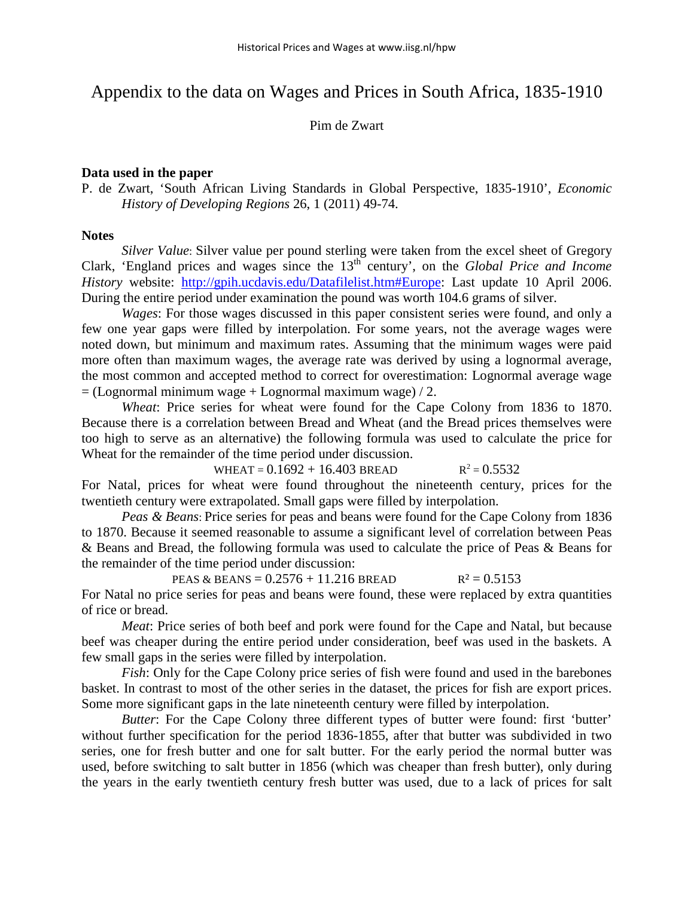## Appendix to the data on Wages and Prices in South Africa, 1835-1910

Pim de Zwart

## **Data used in the paper**

P. de Zwart, 'South African Living Standards in Global Perspective, 1835-1910', *Economic History of Developing Regions* 26, 1 (2011) 49-74.

## **Notes**

*Silver Value*: Silver value per pound sterling were taken from the excel sheet of Gregory Clark, 'England prices and wages since the 13th century', on the *Global Price and Income History* website: [http://gpih.ucdavis.edu/Datafilelist.htm#Europe:](http://gpih.ucdavis.edu/Datafilelist.htm#Europe) Last update 10 April 2006. During the entire period under examination the pound was worth 104.6 grams of silver.

*Wages*: For those wages discussed in this paper consistent series were found, and only a few one year gaps were filled by interpolation. For some years, not the average wages were noted down, but minimum and maximum rates. Assuming that the minimum wages were paid more often than maximum wages, the average rate was derived by using a lognormal average, the most common and accepted method to correct for overestimation: Lognormal average wage  $=$  (Lognormal minimum wage + Lognormal maximum wage) / 2.

*Wheat*: Price series for wheat were found for the Cape Colony from 1836 to 1870. Because there is a correlation between Bread and Wheat (and the Bread prices themselves were too high to serve as an alternative) the following formula was used to calculate the price for Wheat for the remainder of the time period under discussion.

WHEAT =  $0.1692 + 16.403$  BREAD  $R^2 = 0.5532$ For Natal, prices for wheat were found throughout the nineteenth century, prices for the twentieth century were extrapolated. Small gaps were filled by interpolation.

*Peas & Beans*: Price series for peas and beans were found for the Cape Colony from 1836 to 1870. Because it seemed reasonable to assume a significant level of correlation between Peas & Beans and Bread, the following formula was used to calculate the price of Peas & Beans for the remainder of the time period under discussion:

PEAS & BEANS =  $0.2576 + 11.216$  BREAD  $R^2 = 0.5153$ For Natal no price series for peas and beans were found, these were replaced by extra quantities of rice or bread.

*Meat*: Price series of both beef and pork were found for the Cape and Natal, but because beef was cheaper during the entire period under consideration, beef was used in the baskets. A few small gaps in the series were filled by interpolation.

*Fish*: Only for the Cape Colony price series of fish were found and used in the barebones basket. In contrast to most of the other series in the dataset, the prices for fish are export prices. Some more significant gaps in the late nineteenth century were filled by interpolation.

*Butter*: For the Cape Colony three different types of butter were found: first 'butter' without further specification for the period 1836-1855, after that butter was subdivided in two series, one for fresh butter and one for salt butter. For the early period the normal butter was used, before switching to salt butter in 1856 (which was cheaper than fresh butter), only during the years in the early twentieth century fresh butter was used, due to a lack of prices for salt